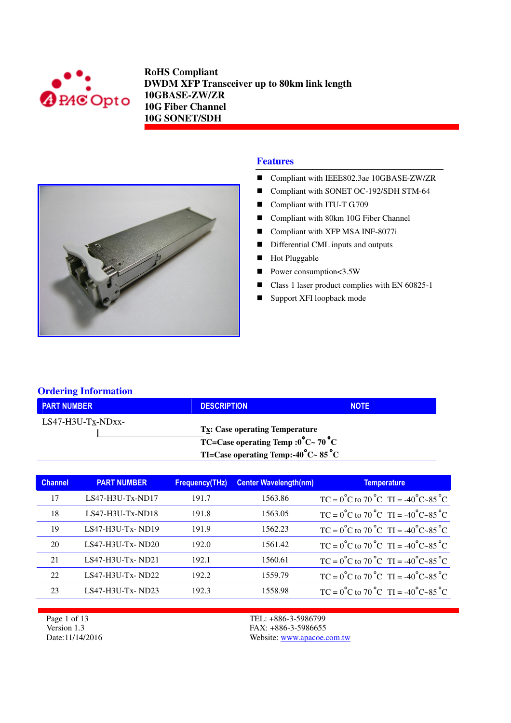



- Compliant with IEEE802.3ae 10GBASE-ZW/ZR
- Compliant with SONET OC-192/SDH STM-64
- Compliant with ITU-T G.709
- Compliant with 80km 10G Fiber Channel
- Compliant with XFP MSA INF-8077i
- Differential CML inputs and outputs
- **Hot Pluggable**
- Power consumption < 3.5W
- Class 1 laser product complies with EN 60825-1
- Support XFI loopback mode

#### **Ordering Information**

| <b>PART NUMBER</b>  | <b>DESCRIPTION</b>                                                                                                                                     | <b>NOTE</b> |
|---------------------|--------------------------------------------------------------------------------------------------------------------------------------------------------|-------------|
| $LS47-H3U-Tx-NDxx-$ | $T_{X}$ : Case operating Temperature<br>$\overline{C}$ TC=Case operating Temp :0°C ~ 70°C<br>TI=Case operating Temp:-40 $^{\circ}$ C ~ 85 $^{\circ}$ C |             |

| <b>Channel</b> | <b>PART NUMBER</b> | <b>Frequency(THz)</b> | <b>Center Wavelength(nm)</b> | <b>Temperature</b>                                                           |
|----------------|--------------------|-----------------------|------------------------------|------------------------------------------------------------------------------|
| 17             | $LS47-H3U-Tx-ND17$ | 191.7                 | 1563.86                      | $TC = 0^{\circ}C$ to $70^{\circ}C$ TI = -40 <sup>°</sup> C~85 <sup>°</sup> C |
| 18             | $LS47-H3U-Tx-ND18$ | 191.8                 | 1563.05                      | $TC = 0^{\circ}C$ to $70^{\circ}C$ $TI = -40^{\circ}C \sim 85^{\circ}C$      |
| 19             | $LS47-H3U-Tx-ND19$ | 191.9                 | 1562.23                      | $TC = 0^{\circ}C$ to $70^{\circ}C$ TI = -40 <sup>°</sup> C~85 <sup>°</sup> C |
| 20             | $LS47-H3U-Tx-ND20$ | 192.0                 | 1561.42                      | $TC = 0^{\circ}C$ to $70^{\circ}C$ TI = -40 <sup>°</sup> C~85 <sup>°</sup> C |
| 21             | $LS47-H3U-Tx-ND21$ | 192.1                 | 1560.61                      | $TC = 0^{\circ}C$ to $70^{\circ}C$ $TI = -40^{\circ}C - 85^{\circ}C$         |
| 22             | $LS47-H3U-Tx-ND22$ | 192.2                 | 1559.79                      | $TC = 0^{\circ}C$ to $70^{\circ}C$ $TI = -40^{\circ}C - 85^{\circ}C$         |
| 23             | $LS47-H3U-Tx-ND23$ | 192.3                 | 1558.98                      | $TC = 0^{\circ}C$ to $70^{\circ}C$ $TI = -40^{\circ}C - 85^{\circ}C$         |

Page 1 of 13 Version 1.3 Date:11/14/2016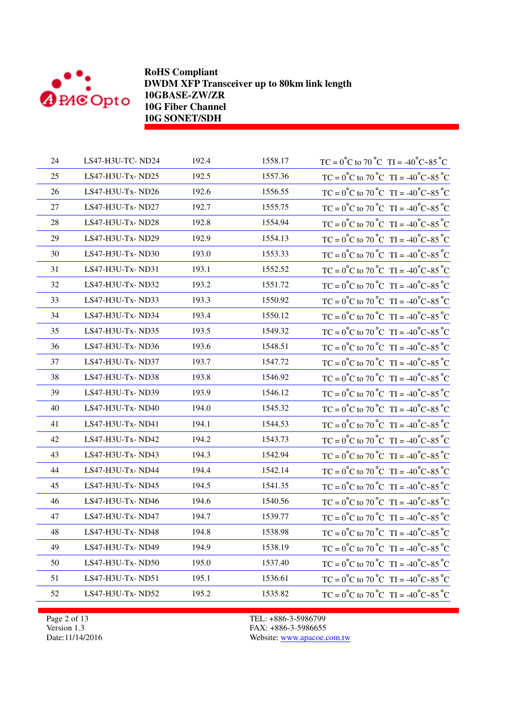

| 24 | LS47-H3U-TC-ND24 | 192.4 | 1558.17 | TC = $0^{\circ}$ C to 70 $^{\circ}$ C TI = -40 $^{\circ}$ C ~85 $^{\circ}$ C |
|----|------------------|-------|---------|------------------------------------------------------------------------------|
| 25 | LS47-H3U-Tx-ND25 | 192.5 | 1557.36 | TC = $0^{\circ}$ C to 70 $^{\circ}$ C TI = -40 $^{\circ}$ C ~85 $^{\circ}$ C |
| 26 | LS47-H3U-Tx-ND26 | 192.6 | 1556.55 | $TC = 0^{\circ}C$ to $70^{\circ}C$ TI = -40°C~85°C                           |
| 27 | LS47-H3U-Tx-ND27 | 192.7 | 1555.75 | TC = $0^{\circ}$ C to 70 $^{\circ}$ C TI = -40 $^{\circ}$ C ~85 $^{\circ}$ C |
| 28 | LS47-H3U-Tx-ND28 | 192.8 | 1554.94 | TC = $0^{\circ}$ C to 70 $^{\circ}$ C TI = -40 $^{\circ}$ C ~85 $^{\circ}$ C |
| 29 | LS47-H3U-Tx-ND29 | 192.9 | 1554.13 | $TC = 0^{\circ}C$ to $70^{\circ}C$ $TI = -40^{\circ}C - 85^{\circ}C$         |
| 30 | LS47-H3U-Tx-ND30 | 193.0 | 1553.33 | TC = $0^{\circ}$ C to 70 $^{\circ}$ C TI = -40 $^{\circ}$ C ~85 $^{\circ}$ C |
| 31 | LS47-H3U-Tx-ND31 | 193.1 | 1552.52 | TC = $0^{\circ}$ C to 70 $^{\circ}$ C TI = -40 $^{\circ}$ C ~85 $^{\circ}$ C |
| 32 | LS47-H3U-Tx-ND32 | 193.2 | 1551.72 | $TC = 0^{\circ}C$ to $70^{\circ}C$ TI = -40°C~85°C                           |
| 33 | LS47-H3U-Tx-ND33 | 193.3 | 1550.92 | $TC = 0^{\circ}C$ to $70^{\circ}C$ $TI = -40^{\circ}C - 85^{\circ}C$         |
| 34 | LS47-H3U-Tx-ND34 | 193.4 | 1550.12 | TC = $0^{\circ}$ C to 70 $^{\circ}$ C TI = -40 $^{\circ}$ C ~85 $^{\circ}$ C |
| 35 | LS47-H3U-Tx-ND35 | 193.5 | 1549.32 | TC = $0^{\circ}$ C to 70 $^{\circ}$ C TI = -40 $^{\circ}$ C ~85 $^{\circ}$ C |
| 36 | LS47-H3U-Tx-ND36 | 193.6 | 1548.51 | TC = $0^{\circ}$ C to 70 $^{\circ}$ C TI = -40 $^{\circ}$ C ~85 $^{\circ}$ C |
| 37 | LS47-H3U-Tx-ND37 | 193.7 | 1547.72 | TC = $0^{\circ}$ C to 70 $^{\circ}$ C TI = -40 $^{\circ}$ C ~85 $^{\circ}$ C |
| 38 | LS47-H3U-Tx-ND38 | 193.8 | 1546.92 | TC = $0^{\circ}$ C to 70 $^{\circ}$ C TI = -40 $^{\circ}$ C ~85 $^{\circ}$ C |
| 39 | LS47-H3U-Tx-ND39 | 193.9 | 1546.12 | TC = $0^{\circ}$ C to 70 $^{\circ}$ C TI = -40 $^{\circ}$ C ~85 $^{\circ}$ C |
| 40 | LS47-H3U-Tx-ND40 | 194.0 | 1545.32 | TC = $0^{\circ}$ C to 70 $^{\circ}$ C TI = -40 $^{\circ}$ C ~85 $^{\circ}$ C |
| 41 | LS47-H3U-Tx-ND41 | 194.1 | 1544.53 | TC = $0^{\circ}$ C to 70 $^{\circ}$ C TI = -40 $^{\circ}$ C ~85 $^{\circ}$ C |
| 42 | LS47-H3U-Tx-ND42 | 194.2 | 1543.73 | TC = $0^{\circ}$ C to 70 $^{\circ}$ C TI = -40 $^{\circ}$ C ~85 $^{\circ}$ C |
| 43 | LS47-H3U-Tx-ND43 | 194.3 | 1542.94 | TC = $0^{\circ}$ C to 70 $^{\circ}$ C TI = -40 $^{\circ}$ C ~85 $^{\circ}$ C |
| 44 | LS47-H3U-Tx-ND44 | 194.4 | 1542.14 | TC = $0^{\circ}$ C to 70 $^{\circ}$ C TI = -40 $^{\circ}$ C ~85 $^{\circ}$ C |
| 45 | LS47-H3U-Tx-ND45 | 194.5 | 1541.35 | TC = $0^{\circ}$ C to 70 $^{\circ}$ C TI = -40 $^{\circ}$ C ~85 $^{\circ}$ C |
| 46 | LS47-H3U-Tx-ND46 | 194.6 | 1540.56 | TC = $0^{\circ}$ C to 70 $^{\circ}$ C TI = -40 $^{\circ}$ C ~85 $^{\circ}$ C |
| 47 | LS47-H3U-Tx-ND47 | 194.7 | 1539.77 | TC = $0^{\circ}$ C to 70 $^{\circ}$ C TI = -40 $^{\circ}$ C ~85 $^{\circ}$ C |
| 48 | LS47-H3U-Tx-ND48 | 194.8 | 1538.98 | $TC = 0^{\circ}C$ to $70^{\circ}C$ TI = -40°C~85°C                           |
| 49 | LS47-H3U-Tx-ND49 | 194.9 | 1538.19 | $TC = 0^{\circ}C$ to $70^{\circ}C$ $TI = -40^{\circ}C - 85^{\circ}C$         |
| 50 | LS47-H3U-Tx-ND50 | 195.0 | 1537.40 | TC = $0^{\circ}$ C to 70 $^{\circ}$ C TI = -40 $^{\circ}$ C ~85 $^{\circ}$ C |
| 51 | LS47-H3U-Tx-ND51 | 195.1 | 1536.61 | TC = $0^{\circ}$ C to 70 $^{\circ}$ C TI = -40 $^{\circ}$ C ~85 $^{\circ}$ C |
| 52 | LS47-H3U-Tx-ND52 | 195.2 | 1535.82 | TC = $0^{\circ}$ C to 70 $^{\circ}$ C TI = -40 $^{\circ}$ C ~85 $^{\circ}$ C |
|    |                  |       |         |                                                                              |

Page 2 of 13 Version 1.3 Date:11/14/2016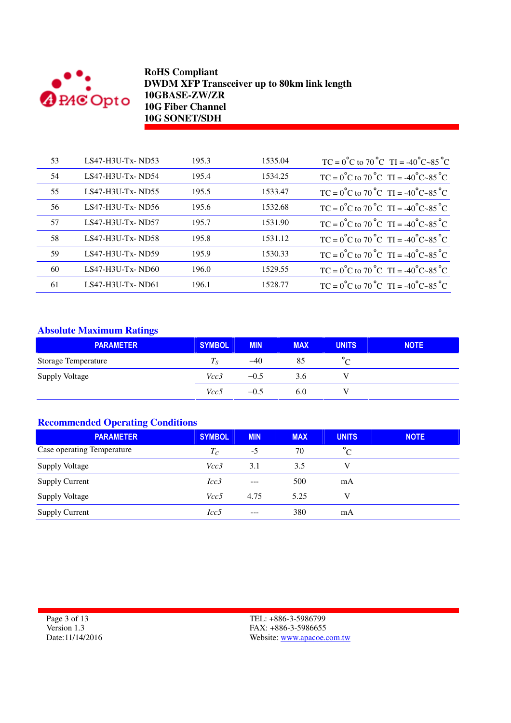

| 53 | $LS47-H3U-Tx-ND53$ | 195.3 | 1535.04 | $TC = 0^{\circ}C$ to $70^{\circ}C$ TI = -40 <sup>°</sup> C~85 <sup>°</sup> C |
|----|--------------------|-------|---------|------------------------------------------------------------------------------|
| 54 | $LS47-H3U-Tx-ND54$ | 195.4 | 1534.25 | $TC = 0^{\circ}C$ to $70^{\circ}C$ TI = -40 <sup>°</sup> C~85 <sup>°</sup> C |
| 55 | $LS47-H3U-Tx-ND55$ | 195.5 | 1533.47 | $TC = 0^{\circ}C$ to $70^{\circ}C$ $TI = -40^{\circ}C - 85^{\circ}C$         |
| 56 | $LS47-H3U-Tx-ND56$ | 195.6 | 1532.68 | $TC = 0^{\circ}C$ to $70^{\circ}C$ TI = -40 <sup>°</sup> C~85 <sup>°</sup> C |
| 57 | LS47-H3U-Tx-ND57   | 195.7 | 1531.90 | $TC = 0^{\circ}C$ to $70^{\circ}C$ $TI = -40^{\circ}C - 85^{\circ}C$         |
| 58 | $LS47-H3U-Tx-ND58$ | 195.8 | 1531.12 | $TC = 0^{\circ}C$ to $70^{\circ}C$ TI = -40 <sup>°</sup> C~85 <sup>°</sup> C |
| 59 | $LS47-H3U-Tx-ND59$ | 195.9 | 1530.33 | $TC = 0^{\circ}C$ to $70^{\circ}C$ $TI = -40^{\circ}C \sim 85^{\circ}C$      |
| 60 | $LS47-H3U-Tx-ND60$ | 196.0 | 1529.55 | $TC = 0^{\circ}C$ to $70^{\circ}C$ TI = -40 <sup>°</sup> C~85 <sup>°</sup> C |
| 61 | $LS47-H3U-Tx-ND61$ | 196.1 | 1528.77 | $TC = 0^{\circ}C$ to $70^{\circ}C$ TI = -40 <sup>°</sup> C~85 <sup>°</sup> C |

## **Absolute Maximum Ratings**

| <b>PARAMETER</b>           | <b>SYMBOL</b> | <b>MIN</b> | <b>MAX</b> | <b>UNITS</b> | <b>NOTE</b> |
|----------------------------|---------------|------------|------------|--------------|-------------|
| <b>Storage Temperature</b> | 1 c           | $-40$      | 85         | $\sqrt{ }$   |             |
| <b>Supply Voltage</b>      | Vcc3          | $-0.5$     | 3.6        |              |             |
|                            | Vcc5          | $-0.5$     | 6.0        |              |             |

#### **Recommended Operating Conditions**

| <b>PARAMETER</b>           | <b>SYMBOL</b> | <b>MIN</b> | <b>MAX</b> | <b>UNITS</b> | <b>NOTE</b> |
|----------------------------|---------------|------------|------------|--------------|-------------|
| Case operating Temperature | $T_C$         | $-5$       | 70         | $^{\circ}C$  |             |
| <b>Supply Voltage</b>      | Vcc3          | 3.1        | 3.5        | V            |             |
| <b>Supply Current</b>      | Icc3          | $---$      | 500        | mA           |             |
| <b>Supply Voltage</b>      | Vcc5          | 4.75       | 5.25       | V            |             |
| <b>Supply Current</b>      | Icc5          | $---$      | 380        | mA           |             |

Page 3 of 13 Version 1.3 Date:11/14/2016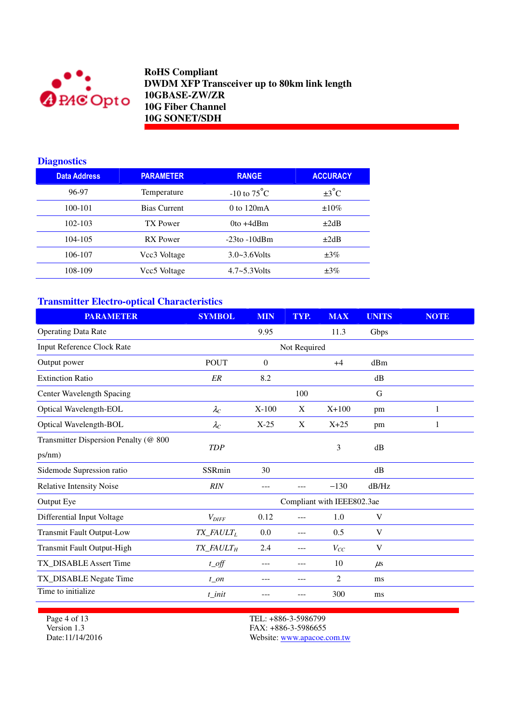

## **Diagnostics**

| <b>Data Address</b> | <b>PARAMETER</b>    | <b>RANGE</b>            | <b>ACCURACY</b>   |
|---------------------|---------------------|-------------------------|-------------------|
| 96-97               | Temperature         | $-10$ to $75^{\circ}$ C | $\pm 3^{\circ}$ C |
| 100-101             | <b>Bias Current</b> | $0$ to $120mA$          | $\pm 10\%$        |
| $102 - 103$         | TX Power            | $0$ to $+4d$ Bm         | $\pm 2dB$         |
| 104-105             | RX Power            | $-23$ to $-10$ dBm      | $\pm 2dB$         |
| 106-107             | Vcc3 Voltage        | $3.0 - 3.6$ Volts       | $\pm 3\%$         |
| 108-109             | Vcc5 Voltage        | $4.7 - 5.3$ Volts       | $\pm 3\%$         |

# **Transmitter Electro-optical Characteristics**

| <b>PARAMETER</b>                      | <b>SYMBOL</b>                      | <b>MIN</b> | TYP.         | <b>MAX</b>                 | <b>UNITS</b> | <b>NOTE</b> |
|---------------------------------------|------------------------------------|------------|--------------|----------------------------|--------------|-------------|
| <b>Operating Data Rate</b>            |                                    | 9.95       |              | 11.3                       | Gbps         |             |
| <b>Input Reference Clock Rate</b>     |                                    |            | Not Required |                            |              |             |
| Output power                          | <b>POUT</b>                        | 0          |              | $+4$                       | dBm          |             |
| <b>Extinction Ratio</b>               | ER                                 | 8.2        |              |                            | dB           |             |
| Center Wavelength Spacing             |                                    |            | 100          |                            | G            |             |
| Optical Wavelength-EOL                | $\lambda_C$                        | $X-100$    | X            | $X+100$                    | pm           | 1           |
| Optical Wavelength-BOL                | $\lambda_C$                        | $X-25$     | X            | $X+25$                     | pm           | 1           |
| Transmitter Dispersion Penalty (@ 800 | <b>TDP</b>                         |            |              | 3                          | dB           |             |
| ps/nm)                                |                                    |            |              |                            |              |             |
| Sidemode Supression ratio             | SSRmin                             | 30         |              |                            | dB           |             |
| <b>Relative Intensity Noise</b>       | <b>RIN</b>                         | ---        | ---          | $-130$                     | dB/Hz        |             |
| Output Eye                            |                                    |            |              | Compliant with IEEE802.3ae |              |             |
| Differential Input Voltage            | $V_{DIFF}$                         | 0.12       | ---          | 1.0                        | V            |             |
| <b>Transmit Fault Output-Low</b>      | $TX$ <sub>_FAULT<sub>L</sub></sub> | 0.0        | ---          | 0.5                        | V            |             |
| Transmit Fault Output-High            | TX_FAULT <sub>H</sub>              | 2.4        | $---$        | $V_{CC}$                   | V            |             |
| TX_DISABLE Assert Time                | $t$ <sub>_O</sub> ff               |            | ---          | 10                         | $\mu$ s      |             |
| TX_DISABLE Negate Time                | $t$ on                             |            | ---          | 2                          | ms           |             |
| Time to initialize                    | t init                             |            | ---          | 300                        | ms           |             |

Page 4 of 13 Version 1.3 Date:11/14/2016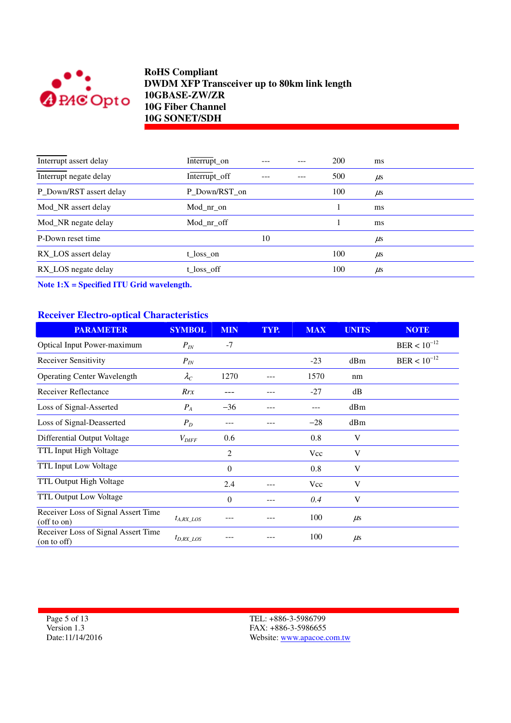

| Interrupt assert delay  | Interrupt_on  |    | 200 | ms      |
|-------------------------|---------------|----|-----|---------|
| Interrupt negate delay  | Interrupt_off |    | 500 | $\mu$ s |
| P_Down/RST assert delay | P Down/RST on |    | 100 | $\mu$ s |
| Mod NR assert delay     | Mod nr on     |    |     | ms      |
| Mod_NR negate delay     | Mod nr off    |    |     | ms      |
| P-Down reset time       |               | 10 |     | $\mu$ s |
| RX_LOS assert delay     | t loss on     |    | 100 | $\mu$ s |
| RX_LOS negate delay     | t_loss_off    |    | 100 | $\mu$ s |

**Note 1:X = Specified ITU Grid wavelength.**

### **Receiver Electro-optical Characteristics**

| <b>PARAMETER</b>                                         | <b>SYMBOL</b>     | <b>MIN</b>     | TYP. | <b>MAX</b> | <b>UNITS</b> | <b>NOTE</b>      |
|----------------------------------------------------------|-------------------|----------------|------|------------|--------------|------------------|
| <b>Optical Input Power-maximum</b>                       | $P_{IN}$          | $-7$           |      |            |              | $BER < 10^{-12}$ |
| <b>Receiver Sensitivity</b>                              | $P_{IN}$          |                |      | $-23$      | dBm          | $BER < 10^{-12}$ |
| <b>Operating Center Wavelength</b>                       | $\lambda_C$       | 1270           |      | 1570       | nm           |                  |
| Receiver Reflectance                                     | Rrx               |                |      | $-27$      | dB           |                  |
| Loss of Signal-Asserted                                  | $P_A$             | $-36$          |      |            | dBm          |                  |
| Loss of Signal-Deasserted                                | $P_D$             | ---            |      | $-28$      | dBm          |                  |
| Differential Output Voltage                              | $V_{\text{DIFF}}$ | 0.6            |      | 0.8        | V            |                  |
| TTL Input High Voltage                                   |                   | 2              |      | Vcc        | V            |                  |
| <b>TTL Input Low Voltage</b>                             |                   | $\overline{0}$ |      | 0.8        | V            |                  |
| TTL Output High Voltage                                  |                   | 2.4            |      | <b>Vcc</b> | V            |                  |
| TTL Output Low Voltage                                   |                   | $\overline{0}$ |      | 0.4        | V            |                  |
| Receiver Loss of Signal Assert Time<br>$($ off to on $)$ | $t_{A, RX\_LOS}$  |                |      | 100        | $\mu$ s      |                  |
| Receiver Loss of Signal Assert Time<br>(on to off)       | $t_{D,RX\_LOS}$   |                |      | 100        | $\mu$ s      |                  |

Page 5 of 13 Version 1.3 Date:11/14/2016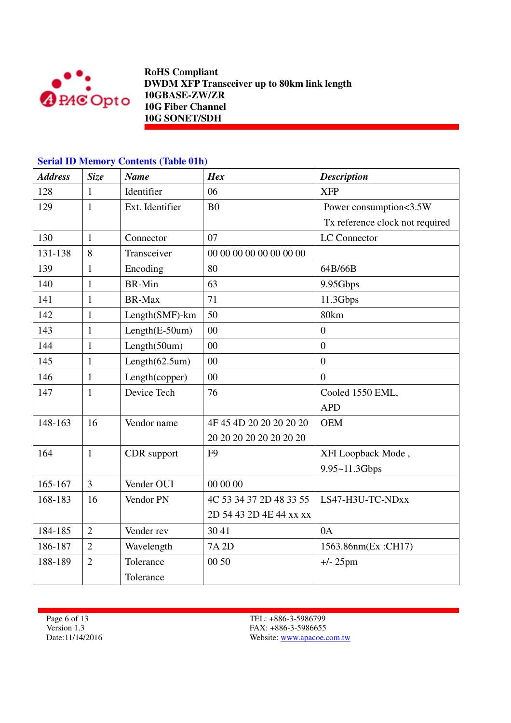

# **Serial ID Memory Contents (Table 01h)**

| <b>Address</b> | <b>Size</b>    | <b>Name</b>           | <b>Hex</b>              | <b>Description</b>              |
|----------------|----------------|-----------------------|-------------------------|---------------------------------|
| 128            | 1              | Identifier            | 06                      | <b>XFP</b>                      |
| 129            | $\mathbf{1}$   | Ext. Identifier       | B <sub>0</sub>          | Power consumption<3.5W          |
|                |                |                       |                         | Tx reference clock not required |
| 130            | $\mathbf{1}$   | Connector             | 07                      | LC Connector                    |
| 131-138        | 8              | Transceiver           | 00 00 00 00 00 00 00 00 |                                 |
| 139            | $\mathbf{1}$   | Encoding              | 80                      | 64B/66B                         |
| 140            | $\mathbf{1}$   | <b>BR-Min</b>         | 63                      | 9.95Gbps                        |
| 141            | $\mathbf{1}$   | <b>BR-Max</b>         | 71                      | 11.3Gbps                        |
| 142            | 1              | Length(SMF)-km        | 50                      | 80km                            |
| 143            | $\mathbf{1}$   | Length(E-50um)        | 00                      | $\boldsymbol{0}$                |
| 144            | $\mathbf{1}$   | Length(50um)          | $00\,$                  | $\boldsymbol{0}$                |
| 145            | $\mathbf{1}$   | Length $(62.5$ um $)$ | 00                      | $\overline{0}$                  |
| 146            | $\mathbf{1}$   | Length(copper)        | 00                      | $\theta$                        |
| 147            | $\mathbf{1}$   | Device Tech           | 76                      | Cooled 1550 EML,                |
|                |                |                       |                         | <b>APD</b>                      |
| 148-163        | 16             | Vendor name           | 4F 45 4D 20 20 20 20 20 | <b>OEM</b>                      |
|                |                |                       | 20 20 20 20 20 20 20 20 |                                 |
| 164            | $\mathbf{1}$   | CDR support           | F <sub>9</sub>          | XFI Loopback Mode,              |
|                |                |                       |                         | 9.95~11.3Gbps                   |
| 165-167        | $\overline{3}$ | Vender OUI            | 00 00 00                |                                 |
| 168-183        | 16             | Vendor PN             | 4C 53 34 37 2D 48 33 55 | LS47-H3U-TC-NDxx                |
|                |                |                       | 2D 54 43 2D 4E 44 xx xx |                                 |
| 184-185        | $\overline{2}$ | Vender rev            | 30 41                   | 0A                              |
| 186-187        | $\overline{2}$ | Wavelength            | 7A 2D                   | 1563.86nm(Ex:CH17)              |
| 188-189        | $\overline{2}$ | Tolerance             | 00 50                   | $+/- 25$ pm                     |
|                |                | Tolerance             |                         |                                 |

Page 6 of 13 Version 1.3 Date:11/14/2016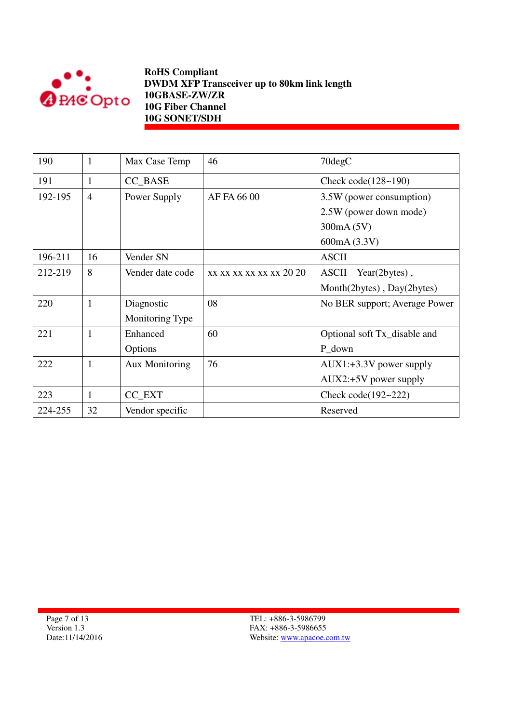

| 190     | 1              | Max Case Temp         | 46                      | 70degC                        |  |
|---------|----------------|-----------------------|-------------------------|-------------------------------|--|
| 191     | 1              | CC_BASE               |                         | Check code $(128-190)$        |  |
| 192-195 | $\overline{4}$ | Power Supply          | AF FA 66 00             | 3.5W (power consumption)      |  |
|         |                |                       |                         | 2.5W (power down mode)        |  |
|         |                |                       |                         | 300mA (5V)                    |  |
|         |                |                       |                         | 600mA (3.3V)                  |  |
| 196-211 | 16             | Vender SN             |                         | <b>ASCII</b>                  |  |
| 212-219 | 8              | Vender date code      | xx xx xx xx xx xx 20 20 | ASCII Year(2bytes),           |  |
|         |                |                       |                         | Month(2bytes), Day(2bytes)    |  |
| 220     | 1              | Diagnostic            | 08                      | No BER support; Average Power |  |
|         |                | Monitoring Type       |                         |                               |  |
| 221     | 1              | Enhanced              | 60                      | Optional soft Tx_disable and  |  |
|         |                | Options               |                         | P_down                        |  |
| 222     | $\mathbf{1}$   | <b>Aux Monitoring</b> | 76                      | $AUX1: +3.3V$ power supply    |  |
|         |                |                       |                         | AUX2:+5V power supply         |  |
| 223     | 1              | CC_EXT                |                         | Check code $(192 - 222)$      |  |
| 224-255 | 32             | Vendor specific       |                         | Reserved                      |  |

Page 7 of 13 Version 1.3 Date:11/14/2016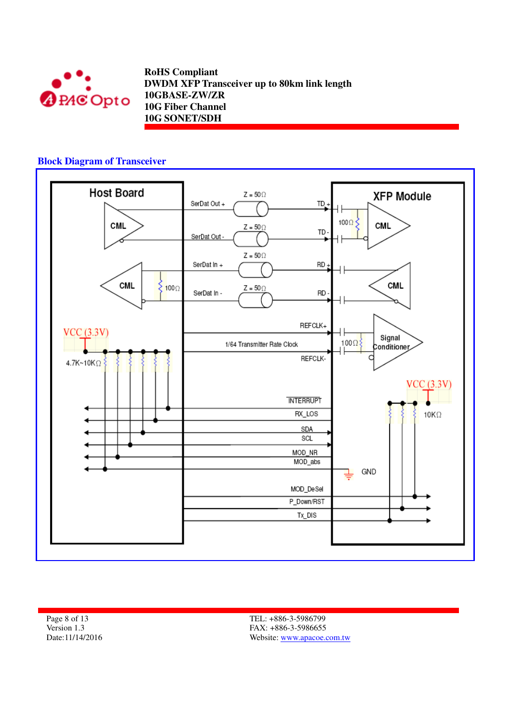

#### **Block Diagram of Transceiver**



Page 8 of 13 Version 1.3 Date:11/14/2016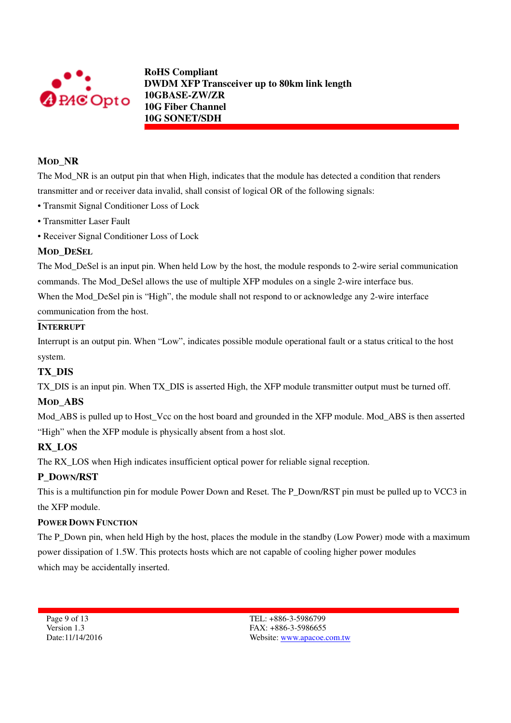

### **MOD\_NR**

The Mod<sub>NR</sub> is an output pin that when High, indicates that the module has detected a condition that renders transmitter and or receiver data invalid, shall consist of logical OR of the following signals:

- Transmit Signal Conditioner Loss of Lock
- Transmitter Laser Fault
- Receiver Signal Conditioner Loss of Lock

### **MOD\_DESEL**

The Mod DeSel is an input pin. When held Low by the host, the module responds to 2-wire serial communication commands. The Mod\_DeSel allows the use of multiple XFP modules on a single 2-wire interface bus. When the Mod DeSel pin is "High", the module shall not respond to or acknowledge any 2-wire interface

communication from the host.

#### **INTERRUPT**

Interrupt is an output pin. When "Low", indicates possible module operational fault or a status critical to the host system.

### **TX\_DIS**

TX DIS is an input pin. When TX DIS is asserted High, the XFP module transmitter output must be turned off.

#### **MOD\_ABS**

Mod\_ABS is pulled up to Host\_Vcc on the host board and grounded in the XFP module. Mod\_ABS is then asserted "High" when the XFP module is physically absent from a host slot.

### **RX\_LOS**

The RX\_LOS when High indicates insufficient optical power for reliable signal reception.

### **P\_DOWN/RST**

This is a multifunction pin for module Power Down and Reset. The P\_Down/RST pin must be pulled up to VCC3 in the XFP module.

#### **POWER DOWN FUNCTION**

The P\_Down pin, when held High by the host, places the module in the standby (Low Power) mode with a maximum power dissipation of 1.5W. This protects hosts which are not capable of cooling higher power modules which may be accidentally inserted.

Page 9 of 13 Version 1.3 Date:11/14/2016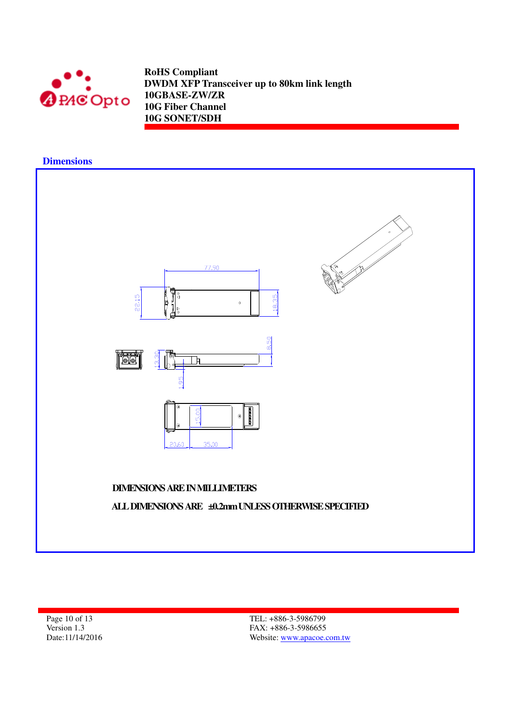

#### **Dimensions**



Page 10 of 13 Version 1.3 Date:11/14/2016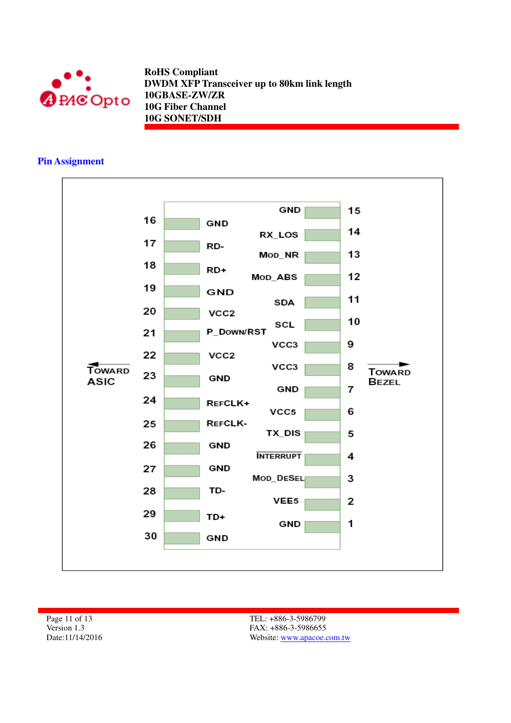

### **Pin Assignment**



Page 11 of 13 Version 1.3 Date:11/14/2016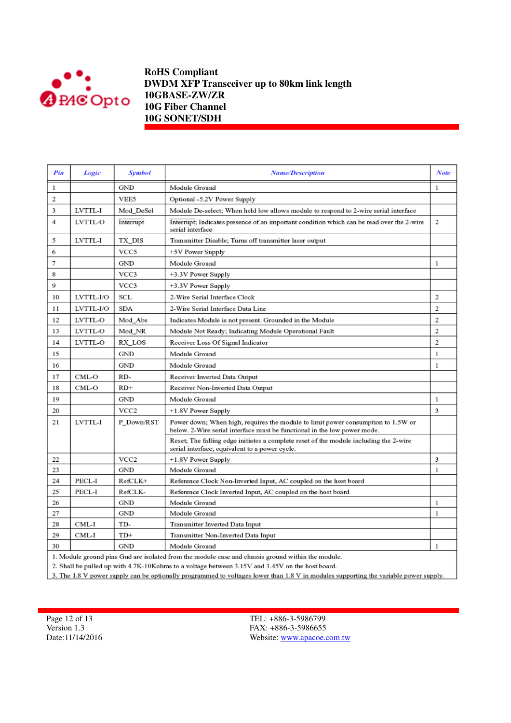

| Pin       | Logic     | Symbol           | <b>Name/Description</b>                                                                                                                                      | <b>Note</b>    |
|-----------|-----------|------------------|--------------------------------------------------------------------------------------------------------------------------------------------------------------|----------------|
| 1         |           | <b>GND</b>       | Module Ground                                                                                                                                                | 1              |
| 2         |           | VEE5             | Optional -5.2V Power Supply                                                                                                                                  |                |
| 3         | LVTTL-I   | Mod DeSel        | Module De-select; When held low allows module to respond to 2-wire serial interface                                                                          |                |
| 4         | LVTTL-O   | Interrupt        | Interrupt; Indicates presence of an important condition which can be read over the 2-wire<br>serial interface                                                | 2              |
| 5         | LVTTL-I   | TX DIS           | Transmitter Disable; Turns off transmitter laser output                                                                                                      |                |
| 6         |           | VCC5             | +5V Power Supply                                                                                                                                             |                |
| 7         |           | GND              | Module Ground                                                                                                                                                | 1              |
| 8         |           | VCC3             | +3.3V Power Supply                                                                                                                                           |                |
| 9         |           | VCC3             | +3.3V Power Supply                                                                                                                                           |                |
| 10        | LVTTL-I/O | SCL              | 2-Wire Serial Interface Clock                                                                                                                                | 2              |
| 11        | LVTTL-I/O | SDA              | 2-Wire Serial Interface Data Line                                                                                                                            | 2              |
| 12        | LVTTL-O   | Mod Abs          | Indicates Module is not present. Grounded in the Module                                                                                                      | $\overline{2}$ |
| 13        | LVTTL-O   | Mod NR           | Module Not Ready; Indicating Module Operational Fault                                                                                                        | $\overline{2}$ |
| 14        | LVTTL-O   | RX LOS           | Receiver Loss Of Signal Indicator                                                                                                                            | $\overline{2}$ |
| 15        |           | GND              | Module Ground                                                                                                                                                | 1              |
| 16        |           | <b>GND</b>       | Module Ground                                                                                                                                                | 1              |
| 17        | CML-O     | RD-              | Receiver Inverted Data Output                                                                                                                                |                |
| 18        | CML-O     | $RD+$            | Receiver Non-Inverted Data Output                                                                                                                            |                |
| 19        |           | <b>GND</b>       | Module Ground                                                                                                                                                | 1              |
| 20        |           | VCC <sub>2</sub> | +1.8V Power Supply                                                                                                                                           | 3              |
| 21        | LVTTL-I   | P Down/RST       | Power down; When high, requires the module to limit power consumption to 1.5W or<br>below. 2-Wire serial interface must be functional in the low power mode. |                |
|           |           |                  | Reset; The falling edge initiates a complete reset of the module including the 2-wire<br>serial interface, equivalent to a power cycle.                      |                |
| 22        |           | VCC <sub>2</sub> | +1.8V Power Supply                                                                                                                                           | 3              |
| 23        |           | <b>GND</b>       | Module Ground                                                                                                                                                | 1              |
| 24        | PECL-I    | RefCLK+          | Reference Clock Non-Inverted Input, AC coupled on the host board                                                                                             |                |
| 25        | PECL-I    | RefCLK-          | Reference Clock Inverted Input, AC coupled on the host board                                                                                                 |                |
| 26        |           | GND              | Module Ground                                                                                                                                                | 1              |
| 27        |           | GND              | Module Ground                                                                                                                                                | 1              |
| 28        | CML-I     | TD-              | Transmitter Inverted Data Input                                                                                                                              |                |
| 29        | CML-I     | TD+              | Transmitter Non-Inverted Data Input                                                                                                                          |                |
| GND<br>30 |           |                  | Module Ground<br>the contract of the contract of the contract of the contract of the contract of the contract of the contract of<br>. .                      | 1              |

1. Module ground pins Gnd are isolated from the module case and chassis ground within the module.

2. Shall be pulled up with 4.7K-10Kohms to a voltage between 3.15V and 3.45V on the host board.

3. The 1.8 V power supply can be optionally programmed to voltages lower than 1.8 V in modules supporting the variable power supply.

Page 12 of 13 Version 1.3 Date:11/14/2016